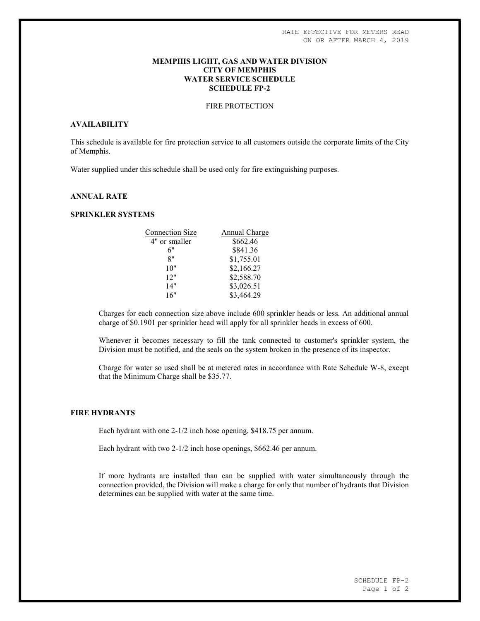### MEMPHIS LIGHT, GAS AND WATER DIVISION CITY OF MEMPHIS WATER SERVICE SCHEDULE SCHEDULE FP-2

# FIRE PROTECTION

# AVAILABILITY

This schedule is available for fire protection service to all customers outside the corporate limits of the City of Memphis.

Water supplied under this schedule shall be used only for fire extinguishing purposes.

# ANNUAL RATE

### SPRINKLER SYSTEMS

| <b>Connection Size</b> | Annual Charge |
|------------------------|---------------|
| 4" or smaller          | \$662.46      |
| 6"                     | \$841.36      |
| 8"                     | \$1,755.01    |
| 10"                    | \$2,166.27    |
| 12"                    | \$2,588.70    |
| 14"                    | \$3,026.51    |
| 16"                    | \$3,464.29    |
|                        |               |

Charges for each connection size above include 600 sprinkler heads or less. An additional annual charge of \$0.1901 per sprinkler head will apply for all sprinkler heads in excess of 600.

Whenever it becomes necessary to fill the tank connected to customer's sprinkler system, the Division must be notified, and the seals on the system broken in the presence of its inspector.

Charge for water so used shall be at metered rates in accordance with Rate Schedule W-8, except that the Minimum Charge shall be \$35.77.

#### FIRE HYDRANTS

Each hydrant with one 2-1/2 inch hose opening, \$418.75 per annum.

Each hydrant with two 2-1/2 inch hose openings, \$662.46 per annum.

If more hydrants are installed than can be supplied with water simultaneously through the connection provided, the Division will make a charge for only that number of hydrants that Division determines can be supplied with water at the same time.